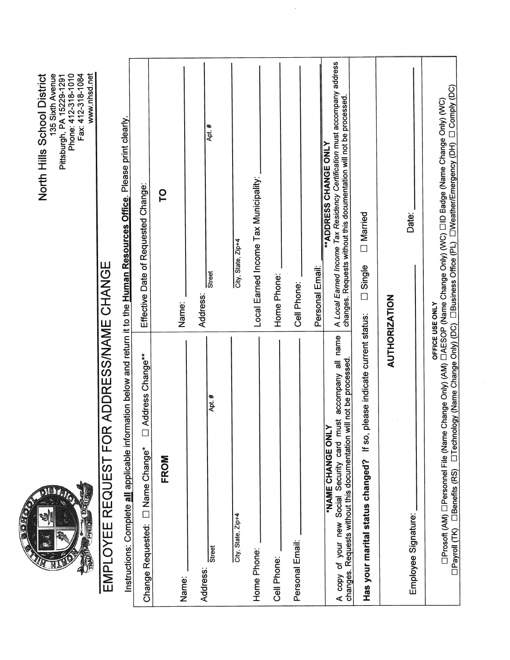**SOFICT** CARID J HA

www.nhsd.net North Hills School District www.nhsd.net North Hills School District 135 Sixth Avenue Phone: 412-318-1010 Fax: 412-318-1084 Pittsburgh, PA 15229-1291

## EMPLOYEE REQUEST FOR ADDRESS/NAME CHANGE EMPLOYEE REQUEST FOR ADDRESS/NAME CHANGE

Instructions: Complete all applicable information below and return it to the Human Resources Office. Please print clearly. Instructions: Complete all applicable information below and return it to the Human Resources Office. Please print clearly.

| Address Change**<br>D Name Change*<br>Change Requested:                                                                                                     | Effective Date of Requested Change:                                                                                                                                                   |
|-------------------------------------------------------------------------------------------------------------------------------------------------------------|---------------------------------------------------------------------------------------------------------------------------------------------------------------------------------------|
| FROM                                                                                                                                                        | p                                                                                                                                                                                     |
| Name:                                                                                                                                                       | Name:                                                                                                                                                                                 |
| Address:                                                                                                                                                    | Address:                                                                                                                                                                              |
| Apt.#<br>Street<br>Street                                                                                                                                   | Apt. #<br>Street                                                                                                                                                                      |
| City, State, Zip+4                                                                                                                                          | City, State, Zip+4                                                                                                                                                                    |
| Home Phone:                                                                                                                                                 | Local Earned Income Tax Municipality:                                                                                                                                                 |
| Cell Phone:                                                                                                                                                 | Home Phone:                                                                                                                                                                           |
| Personal Email:                                                                                                                                             | Cell Phone:                                                                                                                                                                           |
|                                                                                                                                                             | Personal Email:                                                                                                                                                                       |
| A copy of your new Social Security card must accompany all name<br>changes. Requests without this documentation will not be processed.<br>*NAME CHANGE ONLY | A Local Earned Income Tax Residency Certification must accompany address<br>changes. Requests without this documentation will not be processed.<br>"ADDRESS CHANGE ONLY               |
| please indicate current status:<br>If $so$ ,<br>Has your marital status changed?                                                                            | Married<br><b>D</b> Single                                                                                                                                                            |
| <b>AUTHORIZATION</b>                                                                                                                                        |                                                                                                                                                                                       |
| Employee Signature:                                                                                                                                         | Date:                                                                                                                                                                                 |
| OFFICE USE ONLY<br>□Prosoft (AM) □Personnel File (Name<br><b>I</b> Benefits (RS)<br><b>OPayroll</b> (TK)                                                    | □Technology (Name Change Only) (DC) □Business Office (PL) □Weather/Emergency (DH) □ Comply (DC)<br>Change Only) (AM) CAESOP (Name Change Only) (WC) CID Badge (Name Change Only) (WC) |

 $\tilde{\epsilon}$